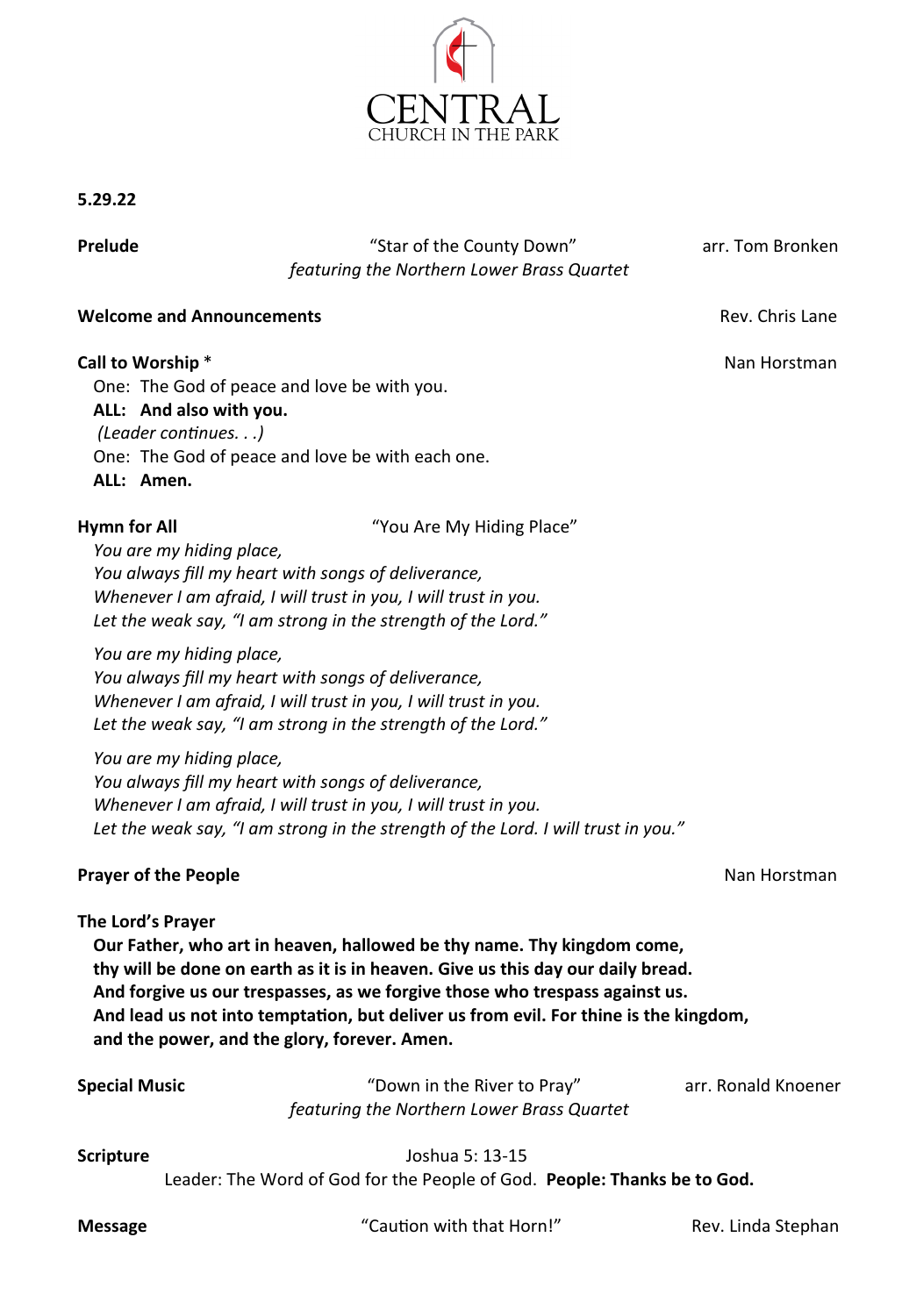

**5.29.22** 

**Prelude Example 2 Prelude 19.1 COLOGY CONS CONS CONS CONS CONS CONS CONS CONS CONS CONS CONS CONS CONS CONS CONS CONS CONS CONS CONS CONS CONS CONS CONS CONS CONS** *featuring the Northern Lower Brass Quartet*

# **Welcome and Announcements Rev. Chris Lane**

# **Call to Worship \* Call to Worship \* Nan Horstman**

One: The God of peace and love be with you. **ALL: And also with you.** *(Leader continues. . .)* One: The God of peace and love be with each one. **ALL: Amen.**

**Hymn for All**  The **Hymn for All Hymn for All Hymn for All We are the Second Area My Hiding Place**"

*You are my hiding place, You always fill my heart with songs of deliverance, Whenever I am afraid, I will trust in you, I will trust in you. Let the weak say, "I am strong in the strength of the Lord."*

*You are my hiding place, You always fill my heart with songs of deliverance, Whenever I am afraid, I will trust in you, I will trust in you. Let the weak say, "I am strong in the strength of the Lord."*

*You are my hiding place, You always fill my heart with songs of deliverance, Whenever I am afraid, I will trust in you, I will trust in you. Let the weak say, "I am strong in the strength of the Lord. I will trust in you."*

# **Prayer of the People and The Property Control of the People Analysis of the People Analysis of the People Analysis of the People Analysis of the Analysis of the Analysis of the Analysis of the Analysis of the Analysis of**

# **The Lord's Prayer**

**Our Father, who art in heaven, hallowed be thy name. Thy kingdom come, thy will be done on earth as it is in heaven. Give us this day our daily bread. And forgive us our trespasses, as we forgive those who trespass against us. And lead us not into temptation, but deliver us from evil. For thine is the kingdom, and the power, and the glory, forever. Amen.**

**Special Music Number 1** and the River to Pray" **arr. Ronald Knoener** *featuring the Northern Lower Brass Quartet*

**Scripture** Joshua 5: 13-15 Leader: The Word of God for the People of God. **People: Thanks be to God.**

**Message The Caution with that Horn!"** Rev. Linda Stephan